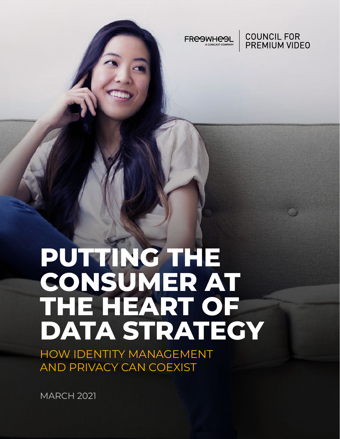

**COUNCIL FOR PREMIUM VIDEO** 

# **PUTTING THE CONSUMER AT THE HEART OF DATA STRATEGY**

HOW IDENTITY MANAGEMENT AND PRIVACY CAN COEXIST

MARCH 2021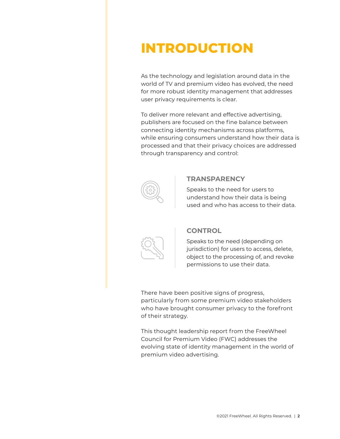# **INTRODUCTION**

As the technology and legislation around data in the world of TV and premium video has evolved, the need for more robust identity management that addresses user privacy requirements is clear.

To deliver more relevant and effective advertising, publishers are focused on the fine balance between connecting identity mechanisms across platforms, while ensuring consumers understand how their data is processed and that their privacy choices are addressed through transparency and control:



#### **TRANSPARENCY**

Speaks to the need for users to understand how their data is being used and who has access to their data.



#### **CONTROL**

Speaks to the need (depending on jurisdiction) for users to access, delete, object to the processing of, and revoke permissions to use their data.

There have been positive signs of progress, particularly from some premium video stakeholders who have brought consumer privacy to the forefront of their strategy.

This thought leadership report from the FreeWheel Council for Premium Video (FWC) addresses the evolving state of identity management in the world of premium video advertising.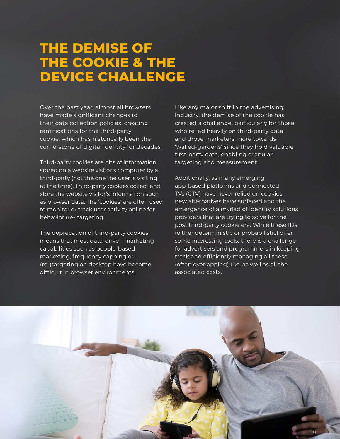### **THE DEMISE OF THE COOKIE & THE DEVICE CHALLENGE**

Over the past year, almost all browsers have made significant changes to their data collection policies, creating ramifications for the third-party cookie, which has historically been the cornerstone of digital identity for decades.

Third-party cookies are bits of information stored on a website visitor's computer by a third-party (not the one the user is visiting at the time). Third-party cookies collect and store the website visitor's information such as browser data. The 'cookies' are often used to monitor or track user activity online for behavior (re-)targeting.

The deprecation of third-party cookies means that most data-driven marketing capabilities such as people-based marketing, frequency capping or (re-)targeting on desktop have become difficult in browser environments.

Like any major shift in the advertising industry, the demise of the cookie has created a challenge, particularly for those who relied heavily on third-party data and drove marketers more towards 'walled-gardens' since they hold valuable first-party data, enabling granular targeting and measurement.

Additionally, as many emerging app-based platforms and Connected TVs (CTV) have never relied on cookies, new alternatives have surfaced and the emergence of a myriad of identity solutions providers that are trying to solve for the post third-party cookie era. While these IDs (either deterministic or probabilistic) offer some interesting tools, there is a challenge for advertisers and programmers in keeping track and efficiently managing all these (often overlapping) IDs, as well as all the associated costs.

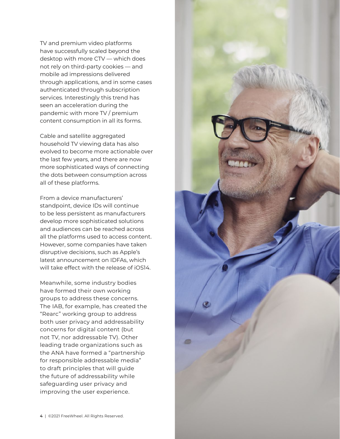TV and premium video platforms have successfully scaled beyond the desktop with more CTV — which does not rely on third-party cookies — and mobile ad impressions delivered through applications, and in some cases authenticated through subscription services. Interestingly this trend has seen an acceleration during the pandemic with more TV / premium content consumption in all its forms.

Cable and satellite aggregated household TV viewing data has also evolved to become more actionable over the last few years, and there are now more sophisticated ways of connecting the dots between consumption across all of these platforms.

From a device manufacturers' standpoint, device IDs will continue to be less persistent as manufacturers develop more sophisticated solutions and audiences can be reached across all the platforms used to access content. However, some companies have taken disruptive decisions, such as [Apple's](https://digiday.com/marketing/ad-tech-is-girding-itself-for-the-loss-of-apples-idfa-heres-what-you-need-to-know/)  [latest announcement on I](https://digiday.com/marketing/ad-tech-is-girding-itself-for-the-loss-of-apples-idfa-heres-what-you-need-to-know/)DFAs, which will take effect with the release of iOS14.

Meanwhile, some industry bodies have formed their own working groups to address these concerns. The IAB, for example, has created the ["Rearc"](https://iabtechlab.com/project-rearc/ ) working group to address both user privacy and addressability concerns for digital content (but not TV, nor addressable TV). Other leading trade organizations such as the ANA have formed a "[partnership](https://www.ana.net/content/show/id/ResponsibleAddressableMedia)  [for responsible addressable media](https://www.ana.net/content/show/id/ResponsibleAddressableMedia)" to draft principles that will guide the future of addressability while safeguarding user privacy and improving the user experience.

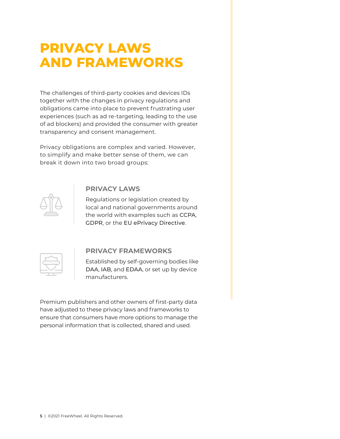# **PRIVACY LAWS AND FRAMEWORKS**

The challenges of third-party cookies and devices IDs together with the changes in privacy regulations and obligations came into place to prevent frustrating user experiences (such as ad re-targeting, leading to the use of ad blockers) and provided the consumer with greater transparency and consent management.

Privacy obligations are complex and varied. However, to simplify and make better sense of them, we can break it down into two broad groups:



### **PRIVACY LAWS**

Regulations or legislation created by local and national governments around the world with examples such as [CCPA](https://oag.ca.gov/privacy/ccpa), [GDPR](https://gdpr.eu), or the [EU ePrivacy Directive](https://edps.europa.eu/data-protection/our-work/subjects/eprivacy-directive_en).



### **PRIVACY FRAMEWORKS**

Established by self-governing bodies like [DAA](https://digitaladvertisingalliance.org), [IAB](https://www.iab.com), and [EDAA](https://edaa.eu), or set up by device manufacturers.

Premium publishers and other owners of first-party data have adjusted to these privacy laws and frameworks to ensure that consumers have more options to manage the personal information that is collected, shared and used.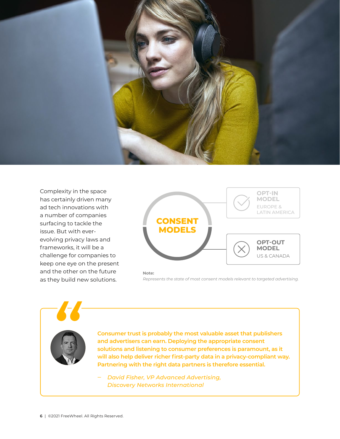

Complexity in the space has certainly driven many ad tech innovations with a number of companies surfacing to tackle the issue. But with everevolving privacy laws and frameworks, it will be a challenge for companies to keep one eye on the present and the other on the future as they build new solutions.



#### **Note:**

*Represents the state of most consent models relevant to targeted advertising.* 

**Consumer trust is probably the most valuable asset that publishers and advertisers can earn. Deploying the appropriate consent solutions and listening to consumer preferences is paramount, as it will also help deliver richer first-party data in a privacy-compliant way. Partnering with the right data partners is therefore essential.**

‒ *David Fisher, VP Advanced Advertising, Discovery Networks International*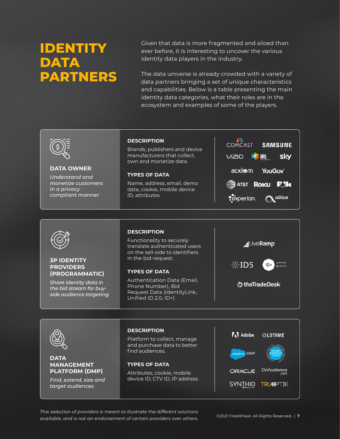# **IDENTITY DATA PARTNERS**

Given that data is more fragmented and siloed than ever before, it is interesting to uncover the various identity data players in the industry.

The data universe is already crowded with a variety of data partners bringing a set of unique characteristics and capabilities. Below is a table presenting the main identity data categories, what their roles are in the ecosystem and examples of some of the players.



#### **DATA OWNER**

*Understand and monetize customers in a privacy compliant manner*

#### **DESCRIPTION**

Brands, publishers and device manufacturers that collect, own and monetize data.

**TYPES OF DATA**

Name, address, email, demo data, cookie, mobile device ID, attributes

|               | <b>COMCAST SAMSUNG</b>     |  |
|---------------|----------------------------|--|
|               | VIZIO KRI SKY              |  |
| acxiom YouGov |                            |  |
|               | <b>SAT&amp;T ROKU P.IK</b> |  |
|               | Pexperian. Naltice         |  |



#### **3P IDENTITY PROVIDERS (PROGRAMMATIC)**

*Share identity data in the bid stream for buyside audience targeting*

#### **DESCRIPTION**

Functionality to securely translate authenticated users on the sell-side to identifiers in the bid-request.

#### **TYPES OF DATA**

Authentication Data (Email, Phone Number), Bid Request Data (IdentityLink, Unified ID 2.0, ID+)





**DATA** 

**MANAGEMENT PLATFORM (DMP)** *Find, extend, size and target audiences*

### **DESCRIPTION**

Platform to collect, manage and purchase data to better find audiences.

#### **TYPES OF DATA**

Attributes, cookie, mobile device ID, CTV ID, IP address



*This selection of providers is meant to illustrate the different solutions available, and is not an endorsement of certain providers over others.*©2021 FreeWheel. All Rights Reserved. | **<sup>7</sup>**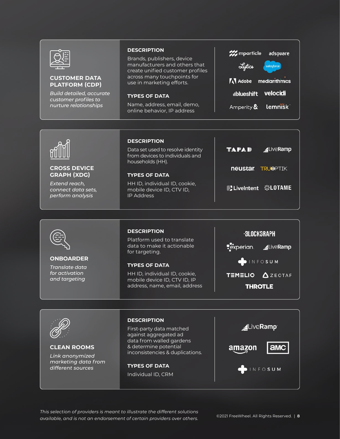

#### **CUSTOMER DATA PLATFORM (CDP)**

*Build detailed, accurate customer profiles to nurture relationships*

#### **DESCRIPTION**

Brands, publishers, device manufacturers and others that create unified customer profiles across many touchpoints for use in marketing efforts.

#### **TYPES OF DATA**

Name, address, email, demo, online behavior, IP address

| 222 mparticle adsouare       |  |  |
|------------------------------|--|--|
| Lytics salesforce            |  |  |
| <b>A</b> Adobe mediarithmics |  |  |
| ublueshift velocidi          |  |  |
| Amperity & lemnisk           |  |  |



#### **CROSS DEVICE GRAPH (XDG)**

*Extend reach, connect data sets, perform analysis*

#### **DESCRIPTION**

Data set used to resolve identity from devices to individuals and households (HH).

#### **TYPES OF DATA**

HH ID, individual ID, cookie, mobile device ID, CTV ID, IP Address

| TAPAD                   | LiveRamp |
|-------------------------|----------|
| <b>neustar TRUOPTIK</b> |          |
| Livelntent ©LOTAME      |          |
|                         |          |



#### **ONBOARDER**

*Translate data for activation and targeting*

#### **DESCRIPTION**

Platform used to translate data to make it actionable for targeting.

#### **TYPES OF DATA**

HH ID, individual ID, cookie, mobile device ID, CTV ID, IP address, name, email, address





**CLEAN ROOMS** *Link anonymized marketing data from different sources*

#### **DESCRIPTION**

First-party data matched against aggregated ad data from walled gardens & determine potential inconsistencies & duplications.

**TYPES OF DATA** Individual ID, CRM



*This selection of providers is meant to illustrate the different solutions available, and is not an endorsement of certain providers over others.*©2021 FreeWheel. All Rights Reserved. | **<sup>8</sup>**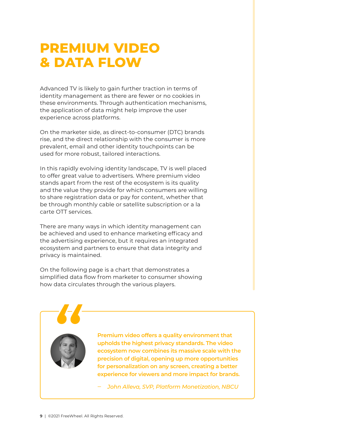# **PREMIUM VIDEO & DATA FLOW**

Advanced TV is likely to gain further traction in terms of identity management as there are fewer or no cookies in these environments. Through authentication mechanisms, the application of data might help improve the user experience across platforms.

On the marketer side, as direct-to-consumer (DTC) brands rise, and the direct relationship with the consumer is more prevalent, email and other identity touchpoints can be used for more robust, tailored interactions.

In this rapidly evolving identity landscape, TV is well placed to offer great value to advertisers. Where premium video stands apart from the rest of the ecosystem is its quality and the value they provide for which consumers are willing to share registration data or pay for content, whether that be through monthly cable or satellite subscription or a la carte OTT services.

There are many ways in which identity management can be achieved and used to enhance marketing efficacy and the advertising experience, but it requires an integrated ecosystem and partners to ensure that data integrity and privacy is maintained.

On the following page is a chart that demonstrates a simplified data flow from marketer to consumer showing how data circulates through the various players.

**Premium video offers a quality environment that upholds the highest privacy standards. The video ecosystem now combines its massive scale with the precision of digital, opening up more opportunities for personalization on any screen, creating a better experience for viewers and more impact for brands.**

‒ *John Alleva, SVP, Platform Monetization, NBCU*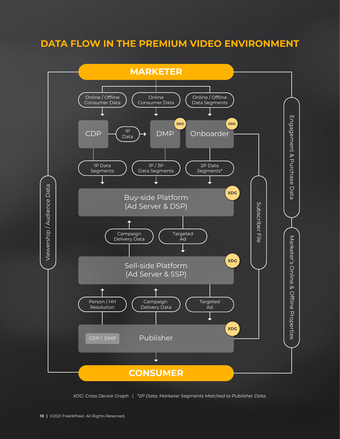### **DATA FLOW IN THE PREMIUM VIDEO ENVIRONMENT**



*XDG: Cross Device Graph* | *\*2P Data: Marketer Segments Matched to Publisher Data.*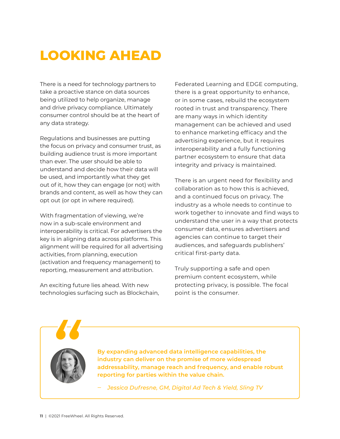# **LOOKING AHEAD**

There is a need for technology partners to take a proactive stance on data sources being utilized to help organize, manage and drive privacy compliance. Ultimately consumer control should be at the heart of any data strategy.

Regulations and businesses are putting the focus on privacy and consumer trust, as building audience trust is more important than ever. The user should be able to understand and decide how their data will be used, and importantly what they get out of it, how they can engage (or not) with brands and content, as well as how they can opt out (or opt in where required).

With fragmentation of viewing, we're now in a sub-scale environment and interoperability is critical. For advertisers the key is in aligning data across platforms. This alignment will be required for all advertising activities, from planning, execution (activation and frequency management) to reporting, measurement and attribution.

An exciting future lies ahead. With new technologies surfacing such as Blockchain, Federated Learning and EDGE computing, there is a great opportunity to enhance, or in some cases, rebuild the ecosystem rooted in trust and transparency. There are many ways in which identity management can be achieved and used to enhance marketing efficacy and the advertising experience, but it requires interoperability and a fully functioning partner ecosystem to ensure that data integrity and privacy is maintained.

There is an urgent need for flexibility and collaboration as to how this is achieved, and a continued focus on privacy. The industry as a whole needs to continue to work together to innovate and find ways to understand the user in a way that protects consumer data, ensures advertisers and agencies can continue to target their audiences, and safeguards publishers' critical first-party data.

Truly supporting a safe and open premium content ecosystem, while protecting privacy, is possible. The focal point is the consumer.

**By expanding advanced data intelligence capabilities, the industry can deliver on the promise of more widespread addressability, manage reach and frequency, and enable robust reporting for parties within the value chain.**

‒ *Jessica Dufresne, GM, Digital Ad Tech & Yield, Sling TV*